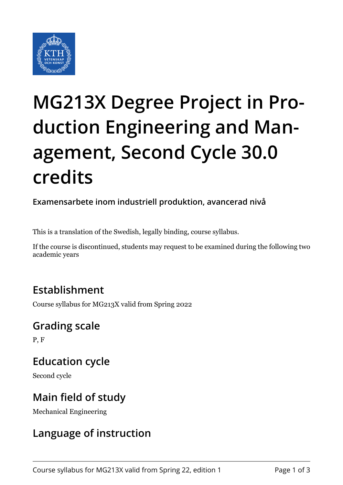

# **MG213X Degree Project in Production Engineering and Management, Second Cycle 30.0 credits**

**Examensarbete inom industriell produktion, avancerad nivå**

This is a translation of the Swedish, legally binding, course syllabus.

If the course is discontinued, students may request to be examined during the following two academic years

### **Establishment**

Course syllabus for MG213X valid from Spring 2022

#### **Grading scale**

P, F

## **Education cycle**

Second cycle

### **Main field of study**

Mechanical Engineering

#### **Language of instruction**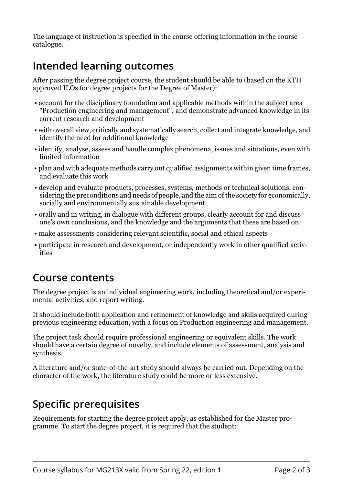The language of instruction is specified in the course offering information in the course catalogue.

#### **Intended learning outcomes**

After passing the degree project course, the student should be able to (based on the KTH approved ILOs for degree projects for the Degree of Master):

- account for the disciplinary foundation and applicable methods within the subject area "Production engineering and management", and demonstrate advanced knowledge in its current research and development
- with overall view, critically and systematically search, collect and integrate knowledge, and identify the need for additional knowledge
- identify, analyse, assess and handle complex phenomena, issues and situations, even with limited information
- plan and with adequate methods carry out qualified assignments within given time frames, and evaluate this work
- develop and evaluate products, processes, systems, methods or technical solutions, considering the preconditions and needs of people, and the aim of the society for economically, socially and environmentally sustainable development
- orally and in writing, in dialogue with different groups, clearly account for and discuss one's own conclusions, and the knowledge and the arguments that these are based on
- make assessments considering relevant scientific, social and ethical aspects
- participate in research and development, or independently work in other qualified activities

#### **Course contents**

The degree project is an individual engineering work, including theoretical and/or experimental activities, and report writing.

It should include both application and refinement of knowledge and skills acquired during previous engineering education, with a focus on Production engineering and management.

The project task should require professional engineering or equivalent skills. The work should have a certain degree of novelty, and include elements of assessment, analysis and synthesis.

A literature and/or state-of-the-art study should always be carried out. Depending on the character of the work, the literature study could be more or less extensive.

## **Specific prerequisites**

Requirements for starting the degree project apply, as established for the Master programme. To start the degree project, it is required that the student: